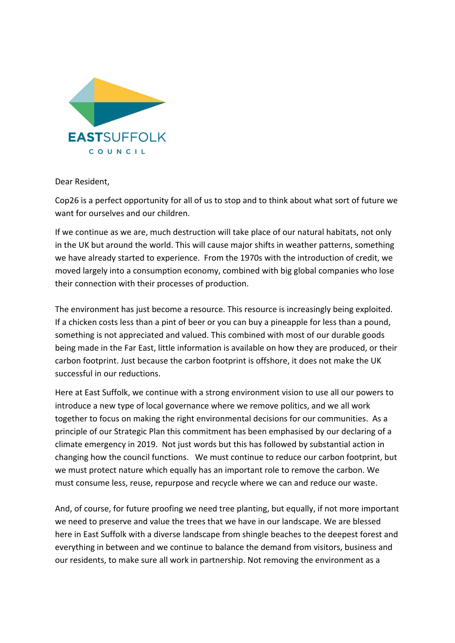

Dear Resident,

Cop26 is a perfect opportunity for all of us to stop and to think about what sort of future we want for ourselves and our children.

If we continue as we are, much destruction will take place of our natural habitats, not only in the UK but around the world. This will cause major shifts in weather patterns, something we have already started to experience. From the 1970s with the introduction of credit, we moved largely into a consumption economy, combined with big global companies who lose their connection with their processes of production.

The environment has just become a resource. This resource is increasingly being exploited. If a chicken costs less than a pint of beer or you can buy a pineapple for less than a pound, something is not appreciated and valued. This combined with most of our durable goods being made in the Far East, little information is available on how they are produced, or their carbon footprint. Just because the carbon footprint is offshore, it does not make the UK successful in our reductions.

Here at East Suffolk, we continue with a strong environment vision to use all our powers to introduce a new type of local governance where we remove politics, and we all work together to focus on making the right environmental decisions for our communities. As a principle of our Strategic Plan this commitment has been emphasised by our declaring of a climate emergency in 2019. Not just words but this has followed by substantial action in changing how the council functions. We must continue to reduce our carbon footprint, but we must protect nature which equally has an important role to remove the carbon. We must consume less, reuse, repurpose and recycle where we can and reduce our waste.

And, of course, for future proofing we need tree planting, but equally, if not more important we need to preserve and value the trees that we have in our landscape. We are blessed here in East Suffolk with a diverse landscape from shingle beaches to the deepest forest and everything in between and we continue to balance the demand from visitors, business and our residents, to make sure all work in partnership. Not removing the environment as a